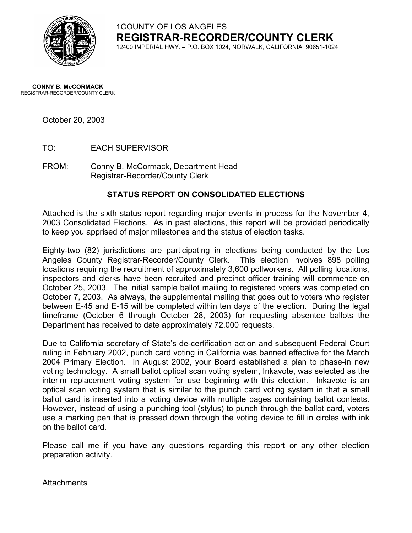

# 1COUNTY OF LOS ANGELES **REGISTRAR-RECORDER/COUNTY CLERK**

12400 IMPERIAL HWY. – P.O. BOX 1024, NORWALK, CALIFORNIA 90651-1024

#### **CONNY B. McCORMACK** REGISTRAR-RECORDER/COUNTY CLERK

October 20, 2003

- TO: EACH SUPERVISOR
- FROM: Conny B. McCormack, Department Head Registrar-Recorder/County Clerk

#### **STATUS REPORT ON CONSOLIDATED ELECTIONS**

Attached is the sixth status report regarding major events in process for the November 4, 2003 Consolidated Elections. As in past elections, this report will be provided periodically to keep you apprised of major milestones and the status of election tasks.

Eighty-two (82) jurisdictions are participating in elections being conducted by the Los Angeles County Registrar-Recorder/County Clerk. This election involves 898 polling locations requiring the recruitment of approximately 3,600 pollworkers. All polling locations, inspectors and clerks have been recruited and precinct officer training will commence on October 25, 2003. The initial sample ballot mailing to registered voters was completed on October 7, 2003. As always, the supplemental mailing that goes out to voters who register between E-45 and E-15 will be completed within ten days of the election. During the legal timeframe (October 6 through October 28, 2003) for requesting absentee ballots the Department has received to date approximately 72,000 requests.

Due to California secretary of State's de-certification action and subsequent Federal Court ruling in February 2002, punch card voting in California was banned effective for the March 2004 Primary Election. In August 2002, your Board established a plan to phase-in new voting technology. A small ballot optical scan voting system, Inkavote, was selected as the interim replacement voting system for use beginning with this election. Inkavote is an optical scan voting system that is similar to the punch card voting system in that a small ballot card is inserted into a voting device with multiple pages containing ballot contests. However, instead of using a punching tool (stylus) to punch through the ballot card, voters use a marking pen that is pressed down through the voting device to fill in circles with ink on the ballot card.

Please call me if you have any questions regarding this report or any other election preparation activity.

Attachments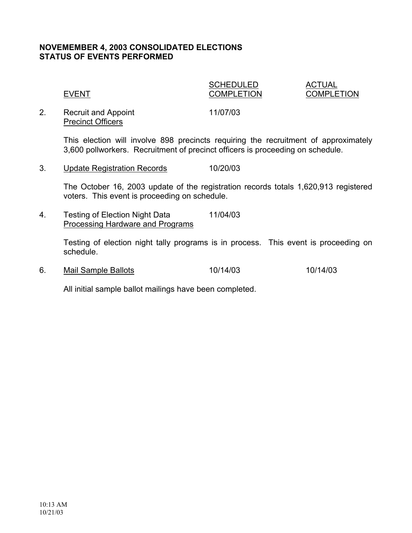### **NOVEMEMBER 4, 2003 CONSOLIDATED ELECTIONS STATUS OF EVENTS PERFORMED**

|    | <b>EVENT</b>               | <b>SCHEDULED</b><br><b>COMPLETION</b> | ACTUAL<br><b>COMPLETION</b> |
|----|----------------------------|---------------------------------------|-----------------------------|
| 2. | <b>Recruit and Appoint</b> | 11/07/03                              |                             |

This election will involve 898 precincts requiring the recruitment of approximately 3,600 pollworkers. Recruitment of precinct officers is proceeding on schedule.

3. Update Registration Records 10/20/03

Precinct Officers

The October 16, 2003 update of the registration records totals 1,620,913 registered voters. This event is proceeding on schedule.

4. Testing of Election Night Data 11/04/03 Processing Hardware and Programs

> Testing of election night tally programs is in process. This event is proceeding on schedule.

6. Mail Sample Ballots 10/14/03 10/14/03

All initial sample ballot mailings have been completed.